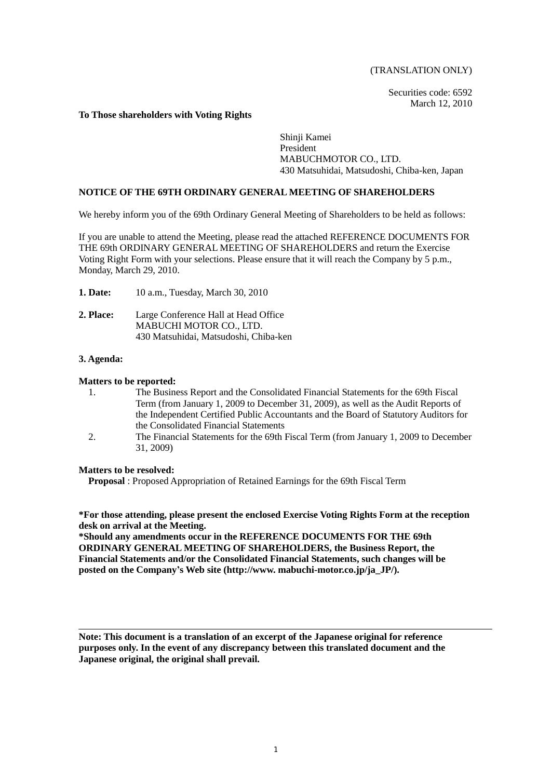#### (TRANSLATION ONLY)

Securities code: 6592 March 12, 2010

#### **To Those shareholders with Voting Rights**

Shinji Kamei President MABUCHMOTOR CO., LTD. 430 Matsuhidai, Matsudoshi, Chiba-ken, Japan

#### **NOTICE OF THE 69TH ORDINARY GENERAL MEETING OF SHAREHOLDERS**

We hereby inform you of the 69th Ordinary General Meeting of Shareholders to be held as follows:

If you are unable to attend the Meeting, please read the attached REFERENCE DOCUMENTS FOR THE 69th ORDINARY GENERAL MEETING OF SHAREHOLDERS and return the Exercise Voting Right Form with your selections. Please ensure that it will reach the Company by 5 p.m., Monday, March 29, 2010.

- **1. Date:** 10 a.m., Tuesday, March 30, 2010
- **2. Place:** Large Conference Hall at Head Office MABUCHI MOTOR CO., LTD. 430 Matsuhidai, Matsudoshi, Chiba-ken

# **3. Agenda:**

#### **Matters to be reported:**

- 1. The Business Report and the Consolidated Financial Statements for the 69th Fiscal Term (from January 1, 2009 to December 31, 2009), as well as the Audit Reports of the Independent Certified Public Accountants and the Board of Statutory Auditors for the Consolidated Financial Statements
- 2. The Financial Statements for the 69th Fiscal Term (from January 1, 2009 to December 31, 2009)

#### **Matters to be resolved:**

**Proposal** : Proposed Appropriation of Retained Earnings for the 69th Fiscal Term

**\*For those attending, please present the enclosed Exercise Voting Rights Form at the reception desk on arrival at the Meeting.** 

**\*Should any amendments occur in the REFERENCE DOCUMENTS FOR THE 69th ORDINARY GENERAL MEETING OF SHAREHOLDERS, the Business Report, the Financial Statements and/or the Consolidated Financial Statements, such changes will be posted on the Company's Web site (http://www. mabuchi-motor.co.jp/ja\_JP/).** 

**Note: This document is a translation of an excerpt of the Japanese original for reference purposes only. In the event of any discrepancy between this translated document and the Japanese original, the original shall prevail.**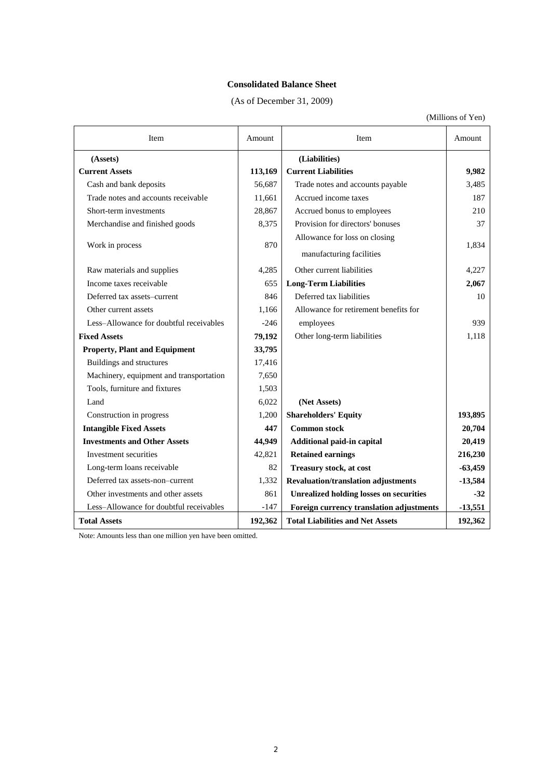## **Consolidated Balance Sheet**

(As of December 31, 2009)

(Millions of Yen)

| Item                                    | Amount  | Item                                           | Amount    |  |
|-----------------------------------------|---------|------------------------------------------------|-----------|--|
| (Assets)                                |         | (Liabilities)                                  |           |  |
| <b>Current Assets</b>                   | 113,169 | <b>Current Liabilities</b>                     | 9,982     |  |
| Cash and bank deposits                  | 56,687  | Trade notes and accounts payable               | 3,485     |  |
| Trade notes and accounts receivable     | 11,661  | Accrued income taxes                           | 187       |  |
| Short-term investments                  | 28,867  | Accrued bonus to employees                     | 210       |  |
| Merchandise and finished goods          | 8,375   | Provision for directors' bonuses               | 37        |  |
|                                         |         | Allowance for loss on closing                  |           |  |
| Work in process                         | 870     | manufacturing facilities                       | 1,834     |  |
|                                         |         |                                                |           |  |
| Raw materials and supplies              | 4,285   | Other current liabilities                      | 4,227     |  |
| Income taxes receivable                 | 655     | <b>Long-Term Liabilities</b>                   | 2,067     |  |
| Deferred tax assets-current             | 846     | Deferred tax liabilities                       | 10        |  |
| Other current assets                    | 1,166   | Allowance for retirement benefits for          |           |  |
| Less-Allowance for doubtful receivables | $-246$  | employees                                      | 939       |  |
| <b>Fixed Assets</b>                     | 79,192  | Other long-term liabilities                    | 1,118     |  |
| <b>Property, Plant and Equipment</b>    | 33,795  |                                                |           |  |
| Buildings and structures                | 17,416  |                                                |           |  |
| Machinery, equipment and transportation | 7,650   |                                                |           |  |
| Tools, furniture and fixtures           | 1,503   |                                                |           |  |
| Land                                    | 6,022   | (Net Assets)                                   |           |  |
| Construction in progress                | 1,200   | <b>Shareholders' Equity</b>                    | 193,895   |  |
| <b>Intangible Fixed Assets</b>          | 447     | <b>Common stock</b>                            | 20,704    |  |
| <b>Investments and Other Assets</b>     | 44,949  | Additional paid-in capital                     | 20,419    |  |
| Investment securities                   | 42,821  | <b>Retained earnings</b>                       | 216,230   |  |
| Long-term loans receivable              | 82      | <b>Treasury stock, at cost</b>                 | $-63,459$ |  |
| Deferred tax assets-non-current         | 1,332   | <b>Revaluation/translation adjustments</b>     | $-13,584$ |  |
| Other investments and other assets      | 861     | <b>Unrealized holding losses on securities</b> | $-32$     |  |
| Less-Allowance for doubtful receivables | $-147$  | Foreign currency translation adjustments       | $-13,551$ |  |
| <b>Total Assets</b>                     | 192,362 | <b>Total Liabilities and Net Assets</b>        | 192,362   |  |

Note: Amounts less than one million yen have been omitted.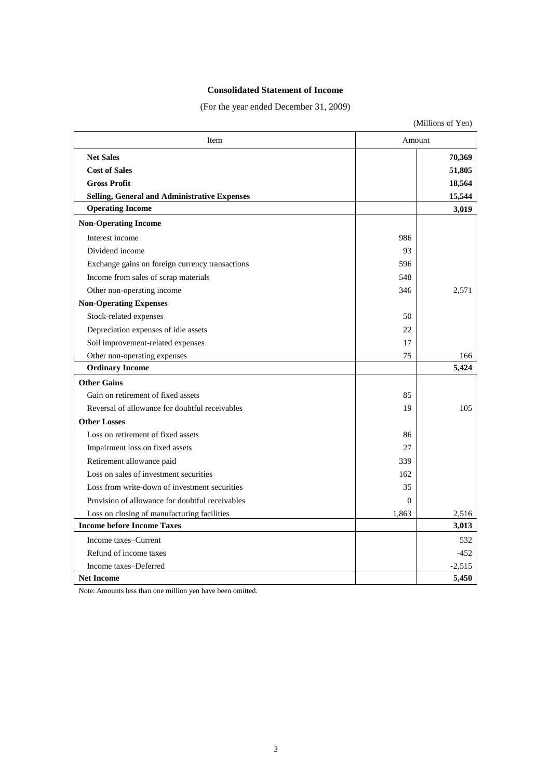# **Consolidated Statement of Income**

(For the year ended December 31, 2009)

|                                                 | (Millions of Yen) |          |  |
|-------------------------------------------------|-------------------|----------|--|
| Item                                            |                   | Amount   |  |
| <b>Net Sales</b>                                |                   | 70,369   |  |
| <b>Cost of Sales</b>                            |                   | 51,805   |  |
| <b>Gross Profit</b>                             |                   | 18,564   |  |
| Selling, General and Administrative Expenses    |                   | 15,544   |  |
| <b>Operating Income</b>                         |                   | 3,019    |  |
| <b>Non-Operating Income</b>                     |                   |          |  |
| Interest income                                 | 986               |          |  |
| Dividend income                                 | 93                |          |  |
| Exchange gains on foreign currency transactions | 596               |          |  |
| Income from sales of scrap materials            | 548               |          |  |
| Other non-operating income                      | 346               | 2.571    |  |
| <b>Non-Operating Expenses</b>                   |                   |          |  |
| Stock-related expenses                          | 50                |          |  |
| Depreciation expenses of idle assets            | 22                |          |  |
| Soil improvement-related expenses               | 17                |          |  |
| Other non-operating expenses                    | 75                | 166      |  |
| <b>Ordinary Income</b>                          |                   | 5,424    |  |
| <b>Other Gains</b>                              |                   |          |  |
| Gain on retirement of fixed assets              | 85                |          |  |
| Reversal of allowance for doubtful receivables  | 19                | 105      |  |
| <b>Other Losses</b>                             |                   |          |  |
| Loss on retirement of fixed assets              | 86                |          |  |
| Impairment loss on fixed assets                 | 27                |          |  |
| Retirement allowance paid                       | 339               |          |  |
| Loss on sales of investment securities          | 162               |          |  |
| Loss from write-down of investment securities   | 35                |          |  |
| Provision of allowance for doubtful receivables | $\Omega$          |          |  |
| Loss on closing of manufacturing facilities     | 1,863             | 2,516    |  |
| <b>Income before Income Taxes</b>               |                   | 3,013    |  |
| Income taxes–Current                            |                   | 532      |  |
| Refund of income taxes                          |                   | $-452$   |  |
| Income taxes-Deferred                           |                   | $-2,515$ |  |
| <b>Net Income</b>                               |                   | 5,450    |  |

Note: Amounts less than one million yen have been omitted.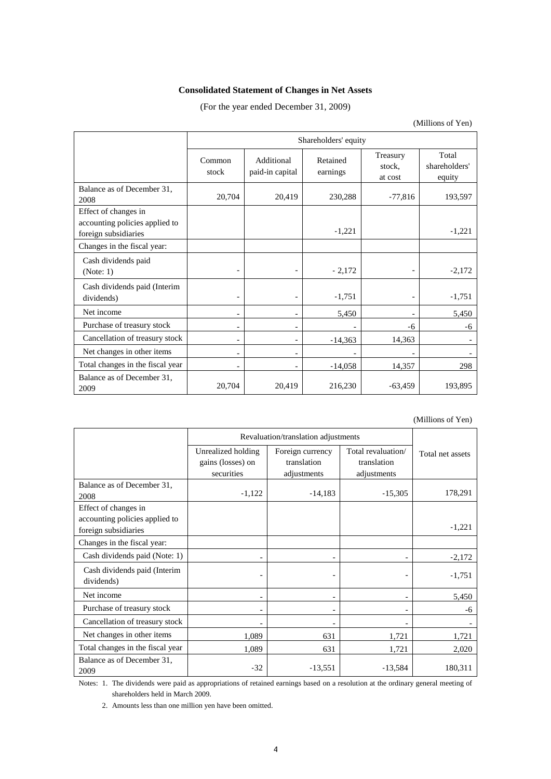# **Consolidated Statement of Changes in Net Assets**

## (For the year ended December 31, 2009)

(Millions of Yen)

|                                                                                | Shareholders' equity     |                               |                      |                               |                                  |
|--------------------------------------------------------------------------------|--------------------------|-------------------------------|----------------------|-------------------------------|----------------------------------|
|                                                                                | Common<br>stock          | Additional<br>paid-in capital | Retained<br>earnings | Treasury<br>stock.<br>at cost | Total<br>shareholders'<br>equity |
| Balance as of December 31,<br>2008                                             | 20,704                   | 20,419                        | 230,288              | $-77,816$                     | 193,597                          |
| Effect of changes in<br>accounting policies applied to<br>foreign subsidiaries |                          |                               | $-1,221$             |                               | $-1,221$                         |
| Changes in the fiscal year:                                                    |                          |                               |                      |                               |                                  |
| Cash dividends paid<br>(Note: 1)                                               |                          |                               | $-2,172$             |                               | $-2,172$                         |
| Cash dividends paid (Interim<br>dividends)                                     | $\overline{\phantom{a}}$ |                               | $-1,751$             |                               | $-1,751$                         |
| Net income                                                                     | $\overline{\phantom{a}}$ | $\overline{\phantom{a}}$      | 5,450                |                               | 5,450                            |
| Purchase of treasury stock                                                     | $\overline{\phantom{a}}$ |                               |                      | -6                            | -6                               |
| Cancellation of treasury stock                                                 | $\overline{\phantom{a}}$ |                               | $-14,363$            | 14,363                        |                                  |
| Net changes in other items                                                     | $\overline{\phantom{a}}$ |                               |                      |                               |                                  |
| Total changes in the fiscal year                                               | $\overline{\phantom{a}}$ | $\overline{\phantom{a}}$      | $-14,058$            | 14,357                        | 298                              |
| Balance as of December 31,<br>2009                                             | 20,704                   | 20,419                        | 216,230              | $-63,459$                     | 193,895                          |

(Millions of Yen)

|                                                                                | Revaluation/translation adjustments                   |                                                |                                                  |                  |
|--------------------------------------------------------------------------------|-------------------------------------------------------|------------------------------------------------|--------------------------------------------------|------------------|
|                                                                                | Unrealized holding<br>gains (losses) on<br>securities | Foreign currency<br>translation<br>adjustments | Total revaluation/<br>translation<br>adjustments | Total net assets |
| Balance as of December 31,<br>2008                                             | $-1,122$                                              | $-14,183$                                      | $-15,305$                                        | 178,291          |
| Effect of changes in<br>accounting policies applied to<br>foreign subsidiaries |                                                       |                                                |                                                  | $-1,221$         |
| Changes in the fiscal year:                                                    |                                                       |                                                |                                                  |                  |
| Cash dividends paid (Note: 1)                                                  |                                                       |                                                |                                                  | $-2,172$         |
| Cash dividends paid (Interim<br>dividends)                                     |                                                       |                                                |                                                  | $-1,751$         |
| Net income                                                                     |                                                       |                                                |                                                  | 5,450            |
| Purchase of treasury stock                                                     |                                                       |                                                |                                                  | -6               |
| Cancellation of treasury stock                                                 |                                                       |                                                |                                                  |                  |
| Net changes in other items                                                     | 1,089                                                 | 631                                            | 1,721                                            | 1,721            |
| Total changes in the fiscal year                                               | 1,089                                                 | 631                                            | 1,721                                            | 2,020            |
| Balance as of December 31,<br>2009                                             | $-32$                                                 | $-13,551$                                      | $-13,584$                                        | 180,311          |

Notes: 1. The dividends were paid as appropriations of retained earnings based on a resolution at the ordinary general meeting of shareholders held in March 2009.

2. Amounts less than one million yen have been omitted.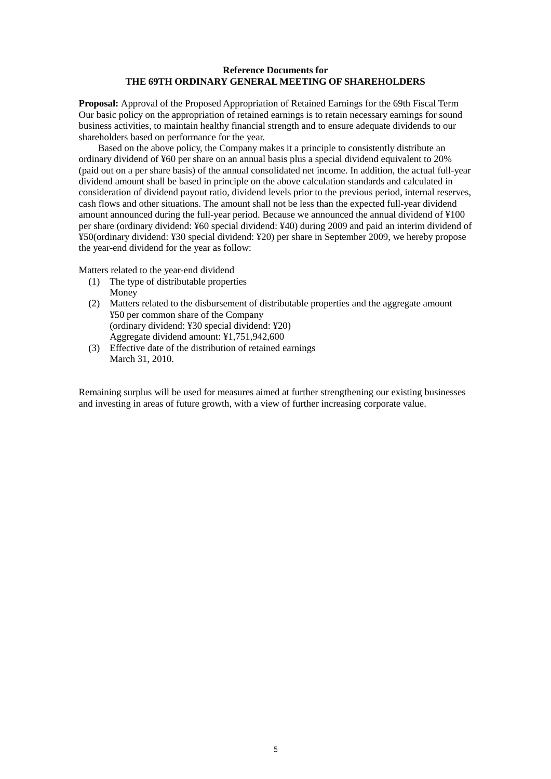## **Reference Documents for THE 69TH ORDINARY GENERAL MEETING OF SHAREHOLDERS**

**Proposal:** Approval of the Proposed Appropriation of Retained Earnings for the 69th Fiscal Term Our basic policy on the appropriation of retained earnings is to retain necessary earnings for sound business activities, to maintain healthy financial strength and to ensure adequate dividends to our shareholders based on performance for the year.

Based on the above policy, the Company makes it a principle to consistently distribute an ordinary dividend of ¥60 per share on an annual basis plus a special dividend equivalent to 20% (paid out on a per share basis) of the annual consolidated net income. In addition, the actual full-year dividend amount shall be based in principle on the above calculation standards and calculated in consideration of dividend payout ratio, dividend levels prior to the previous period, internal reserves, cash flows and other situations. The amount shall not be less than the expected full-year dividend amount announced during the full-year period. Because we announced the annual dividend of ¥100 per share (ordinary dividend: ¥60 special dividend: ¥40) during 2009 and paid an interim dividend of ¥50(ordinary dividend: ¥30 special dividend: ¥20) per share in September 2009, we hereby propose the year-end dividend for the year as follow:

Matters related to the year-end dividend

- (1) The type of distributable properties Money
- (2) Matters related to the disbursement of distributable properties and the aggregate amount ¥50 per common share of the Company (ordinary dividend: ¥30 special dividend: ¥20) Aggregate dividend amount: ¥1,751,942,600
- (3) Effective date of the distribution of retained earnings March 31, 2010.

Remaining surplus will be used for measures aimed at further strengthening our existing businesses and investing in areas of future growth, with a view of further increasing corporate value.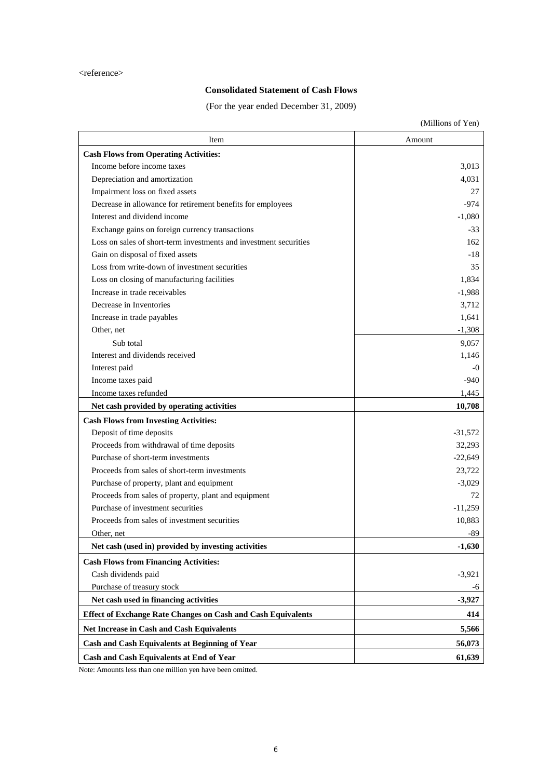# **Consolidated Statement of Cash Flows**

(For the year ended December 31, 2009)

|                                                                     | (Millions of Yen) |
|---------------------------------------------------------------------|-------------------|
| Item                                                                | Amount            |
| <b>Cash Flows from Operating Activities:</b>                        |                   |
| Income before income taxes                                          | 3,013             |
| Depreciation and amortization                                       | 4,031             |
| Impairment loss on fixed assets                                     | 27                |
| Decrease in allowance for retirement benefits for employees         | $-974$            |
| Interest and dividend income                                        | $-1,080$          |
| Exchange gains on foreign currency transactions                     | $-33$             |
| Loss on sales of short-term investments and investment securities   | 162               |
| Gain on disposal of fixed assets                                    | -18               |
| Loss from write-down of investment securities                       | 35                |
| Loss on closing of manufacturing facilities                         | 1,834             |
| Increase in trade receivables                                       | $-1,988$          |
| Decrease in Inventories                                             | 3,712             |
| Increase in trade payables                                          | 1,641             |
| Other, net                                                          | $-1,308$          |
| Sub total                                                           | 9,057             |
| Interest and dividends received                                     | 1,146             |
| Interest paid                                                       | $-0$              |
| Income taxes paid                                                   | -940              |
| Income taxes refunded                                               | 1,445             |
| Net cash provided by operating activities                           | 10,708            |
| <b>Cash Flows from Investing Activities:</b>                        |                   |
| Deposit of time deposits                                            | $-31,572$         |
| Proceeds from withdrawal of time deposits                           | 32,293            |
| Purchase of short-term investments                                  | $-22,649$         |
| Proceeds from sales of short-term investments                       | 23,722            |
| Purchase of property, plant and equipment                           | $-3,029$          |
| Proceeds from sales of property, plant and equipment                | 72                |
| Purchase of investment securities                                   | $-11,259$         |
| Proceeds from sales of investment securities                        | 10,883            |
| Other, net                                                          | $-89$             |
| Net cash (used in) provided by investing activities                 | $-1,630$          |
| <b>Cash Flows from Financing Activities:</b>                        |                   |
| Cash dividends paid                                                 | $-3,921$          |
| Purchase of treasury stock                                          | -6                |
| Net cash used in financing activities                               | $-3,927$          |
| <b>Effect of Exchange Rate Changes on Cash and Cash Equivalents</b> | 414               |
| <b>Net Increase in Cash and Cash Equivalents</b>                    | 5,566             |
| Cash and Cash Equivalents at Beginning of Year                      | 56,073            |
| <b>Cash and Cash Equivalents at End of Year</b>                     | 61,639            |

Note: Amounts less than one million yen have been omitted.